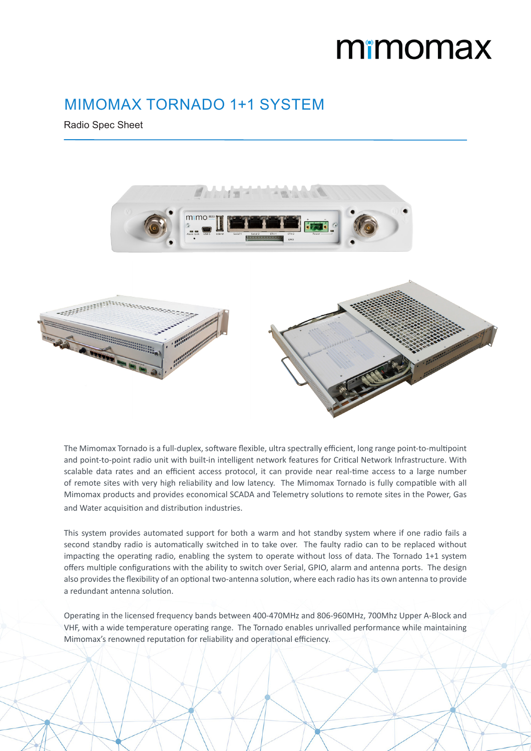## mimomax

 $\sim$ 

## MIMOMAX TORNADO 1+1 SYSTEM

Radio Spec Sheet



The Mimomax Tornado is a full-duplex, software flexible, ultra spectrally efficient, long range point-to-multipoint and point-to-point radio unit with built-in intelligent network features for Critical Network Infrastructure. With scalable data rates and an efficient access protocol, it can provide near real-time access to a large number of remote sites with very high reliability and low latency. The Mimomax Tornado is fully compatible with all Mimomax products and provides economical SCADA and Telemetry solutions to remote sites in the Power, Gas and Water acquisition and distribution industries.

This system provides automated support for both a warm and hot standby system where if one radio fails a second standby radio is automatically switched in to take over. The faulty radio can to be replaced without impacting the operating radio, enabling the system to operate without loss of data. The Tornado 1+1 system offers multiple configurations with the ability to switch over Serial, GPIO, alarm and antenna ports. The design also provides the flexibility of an optional two-antenna solution, where each radio has its own antenna to provide a redundant antenna solution.

Operating in the licensed frequency bands between 400-470MHz and 806-960MHz, 700Mhz Upper A-Block and VHF, with a wide temperature operating range. The Tornado enables unrivalled performance while maintaining Mimomax's renowned reputation for reliability and operational efficiency.